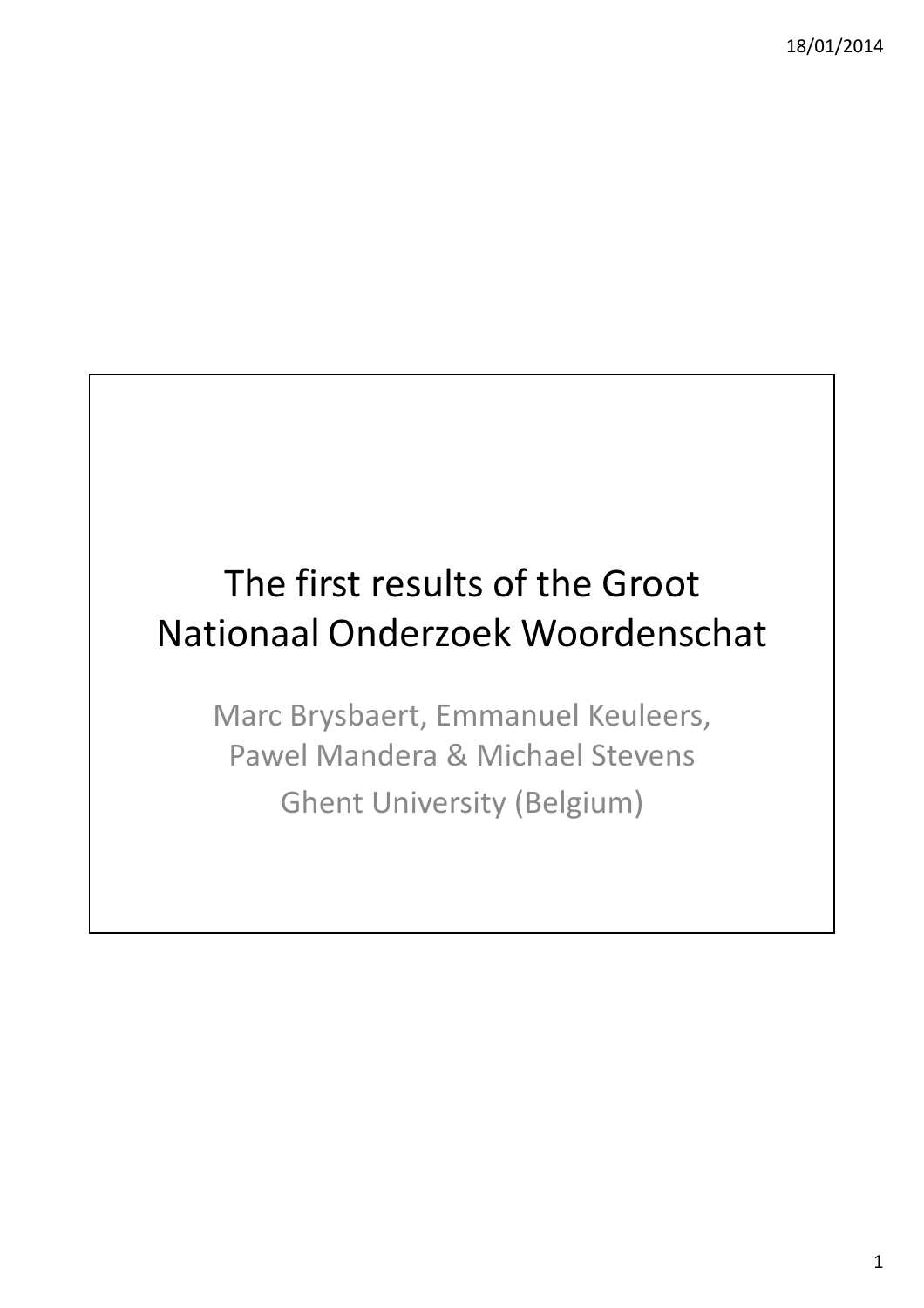# The first results of the Groot Nationaal Onderzoek Woordenschat

Marc Brysbaert, Emmanuel Keuleers, Pawel Mandera & Michael Stevens Ghent University (Belgium)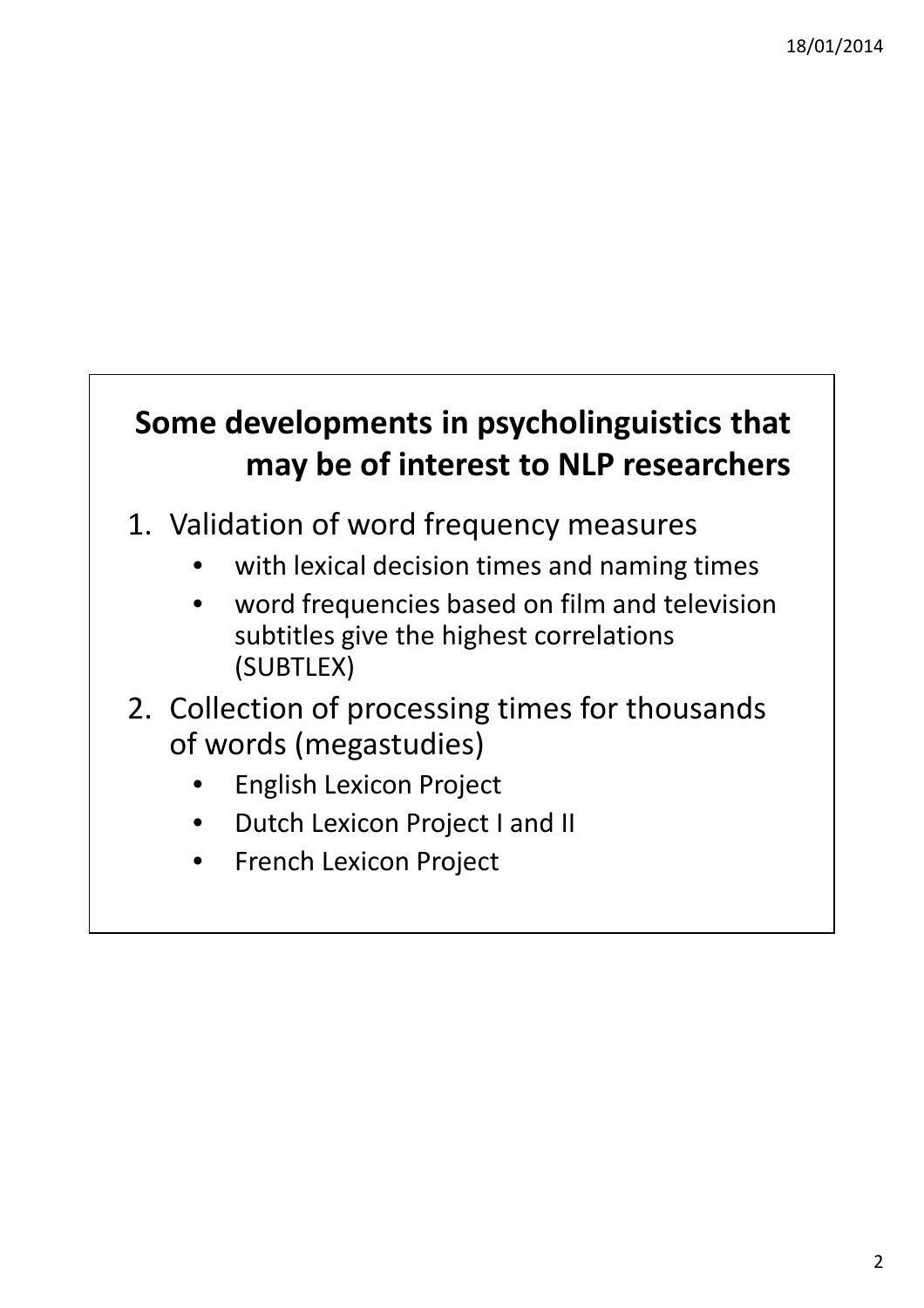#### **Some developments in psycholinguistics that may be of interest to NLP researchers**

- 1. Validation of word frequency measures
	- with lexical decision times and naming times
	- word frequencies based on film and television subtitles give the highest correlations (SUBTLEX)
- 2. Collection of processing times for thousands of words (megastudies)
	- English Lexicon Project
	- Dutch Lexicon Project I and II
	- French Lexicon Project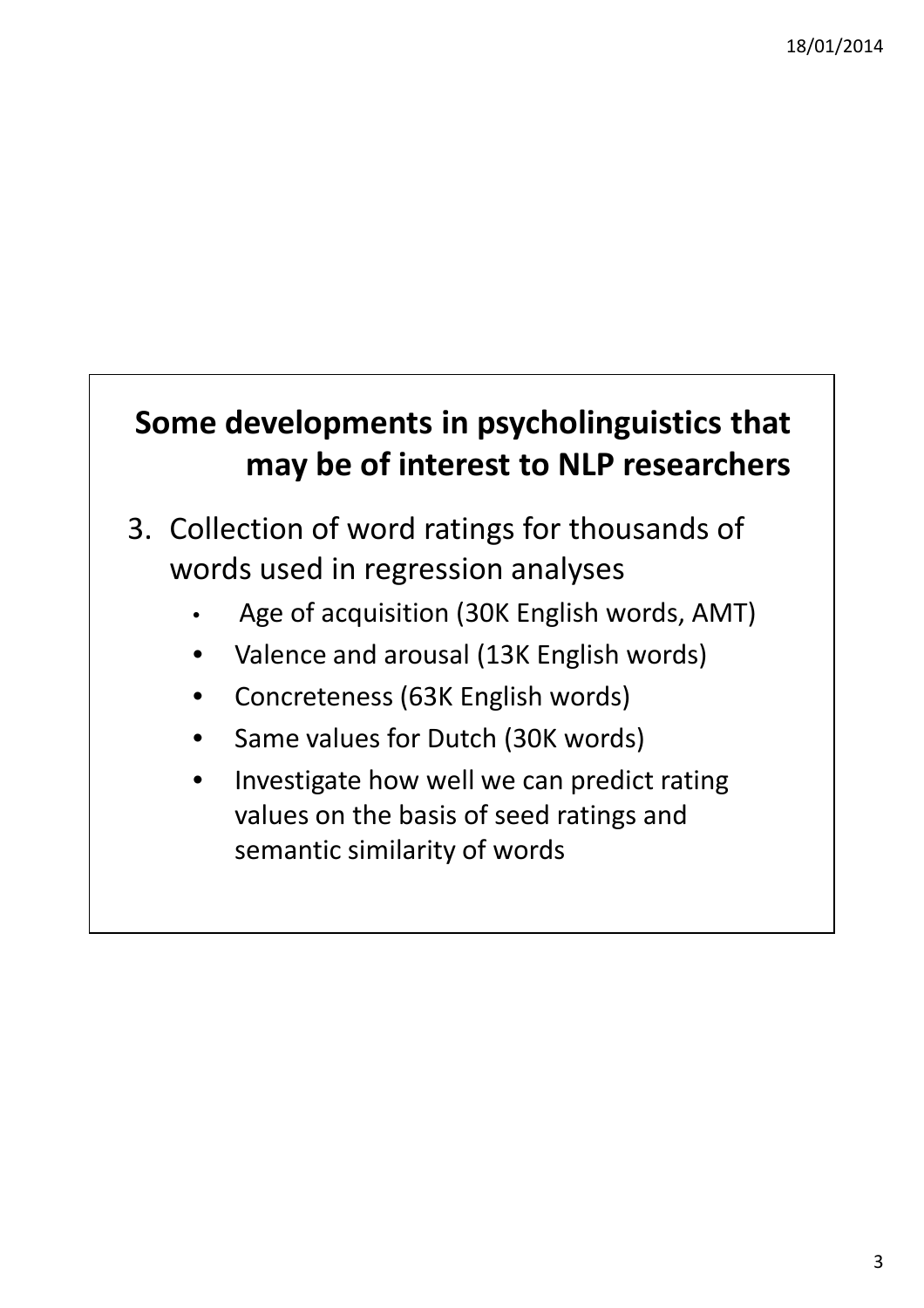#### **Some developments in psycholinguistics that may be of interest to NLP researchers**

- 3. Collection of word ratings for thousands of words used in regression analyses
	- Age of acquisition (30K English words, AMT)
	- Valence and arousal (13K English words)
	- Concreteness (63K English words)
	- Same values for Dutch (30K words)
	- Investigate how well we can predict rating values on the basis of seed ratings and semantic similarity of words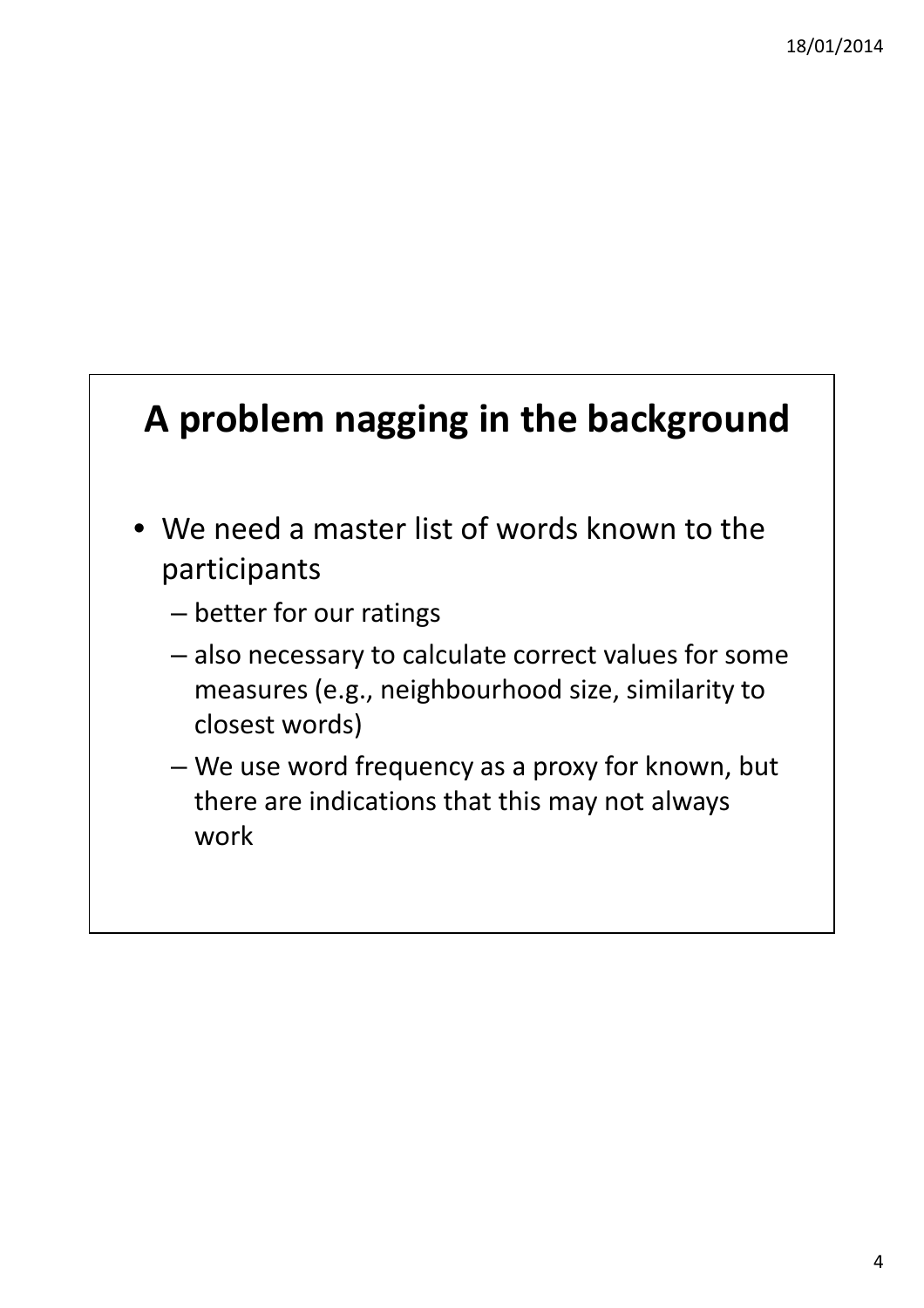# **A problem nagging in the background**

- We need a master list of words known to the participants
	- better for our ratings
	- also necessary to calculate correct values for some measures (e.g., neighbourhood size, similarity to closest words)
	- We use word frequency as a proxy for known, but there are indications that this may not always work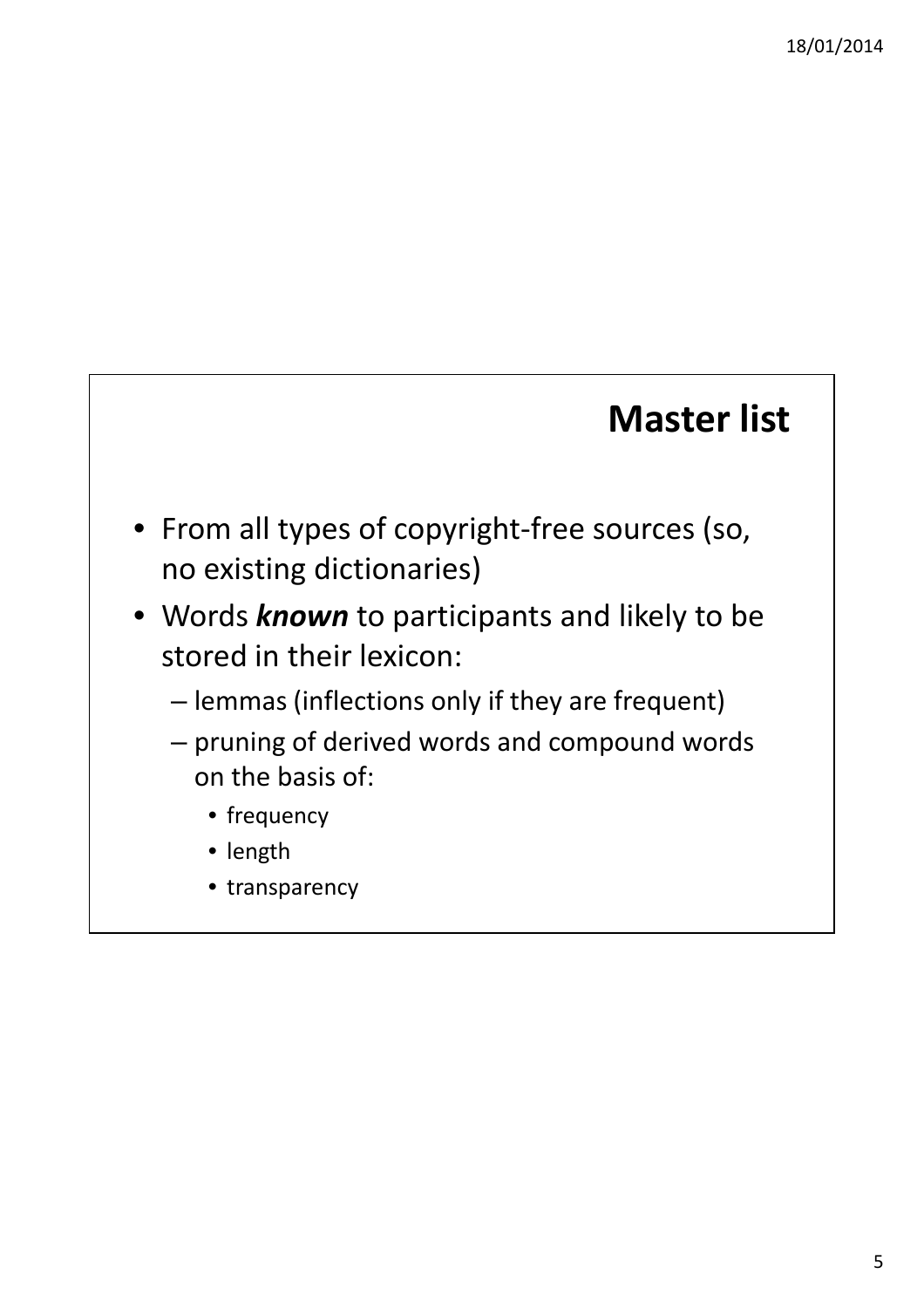#### **Master list**

- From all types of copyright-free sources (so, no existing dictionaries)
- Words *known* to participants and likely to be stored in their lexicon:
	- lemmas (inflections only if they are frequent)
	- pruning of derived words and compound words on the basis of:
		- frequency
		- length
		- transparency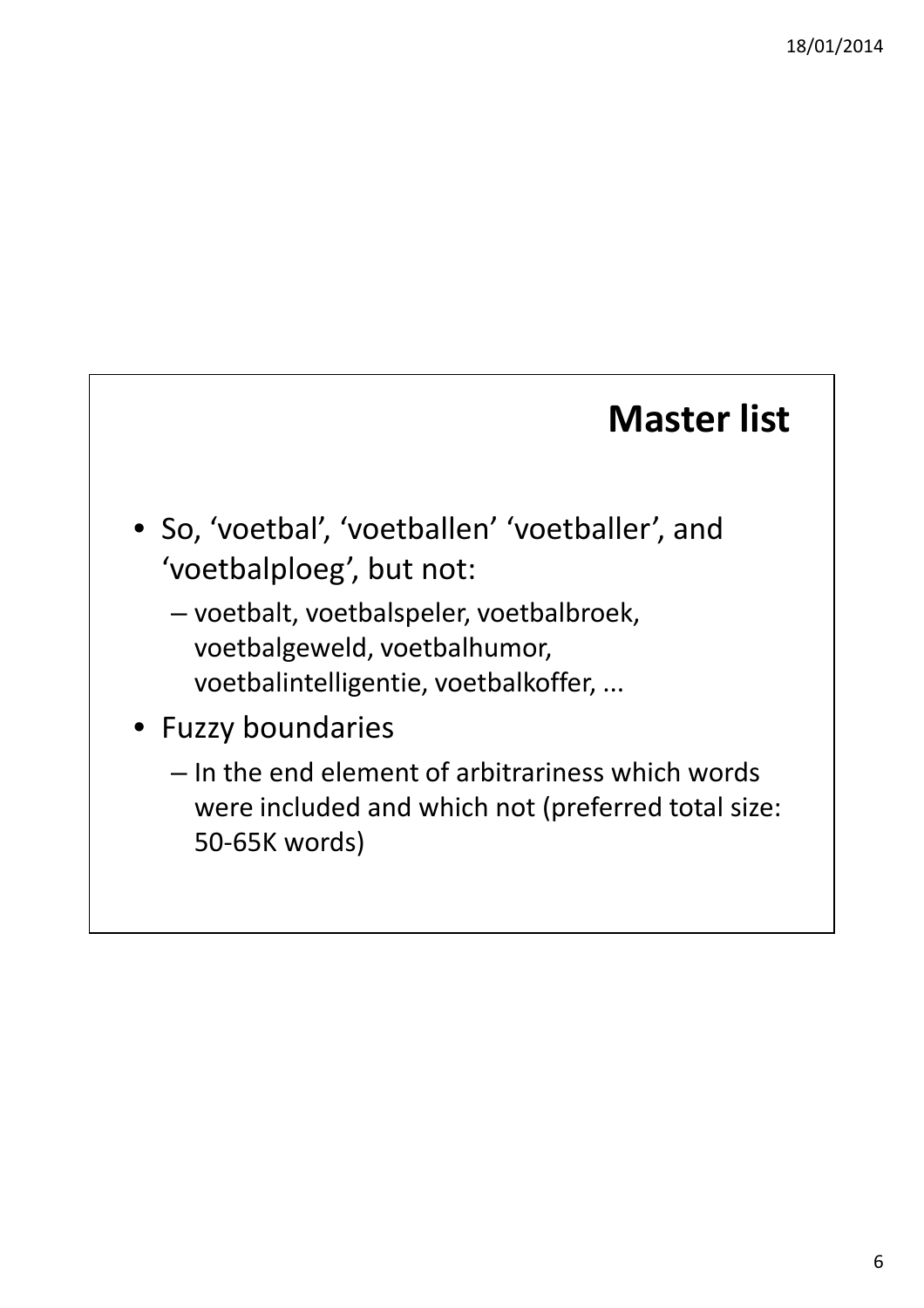### **Master list**

- So, 'voetbal', 'voetballen' 'voetballer', and 'voetbalploeg', but not:
	- voetbalt, voetbalspeler, voetbalbroek, voetbalgeweld, voetbalhumor, voetbalintelligentie, voetbalkoffer, ...
- Fuzzy boundaries
	- In the end element of arbitrariness which words were included and which not (preferred total size: 50-65K words)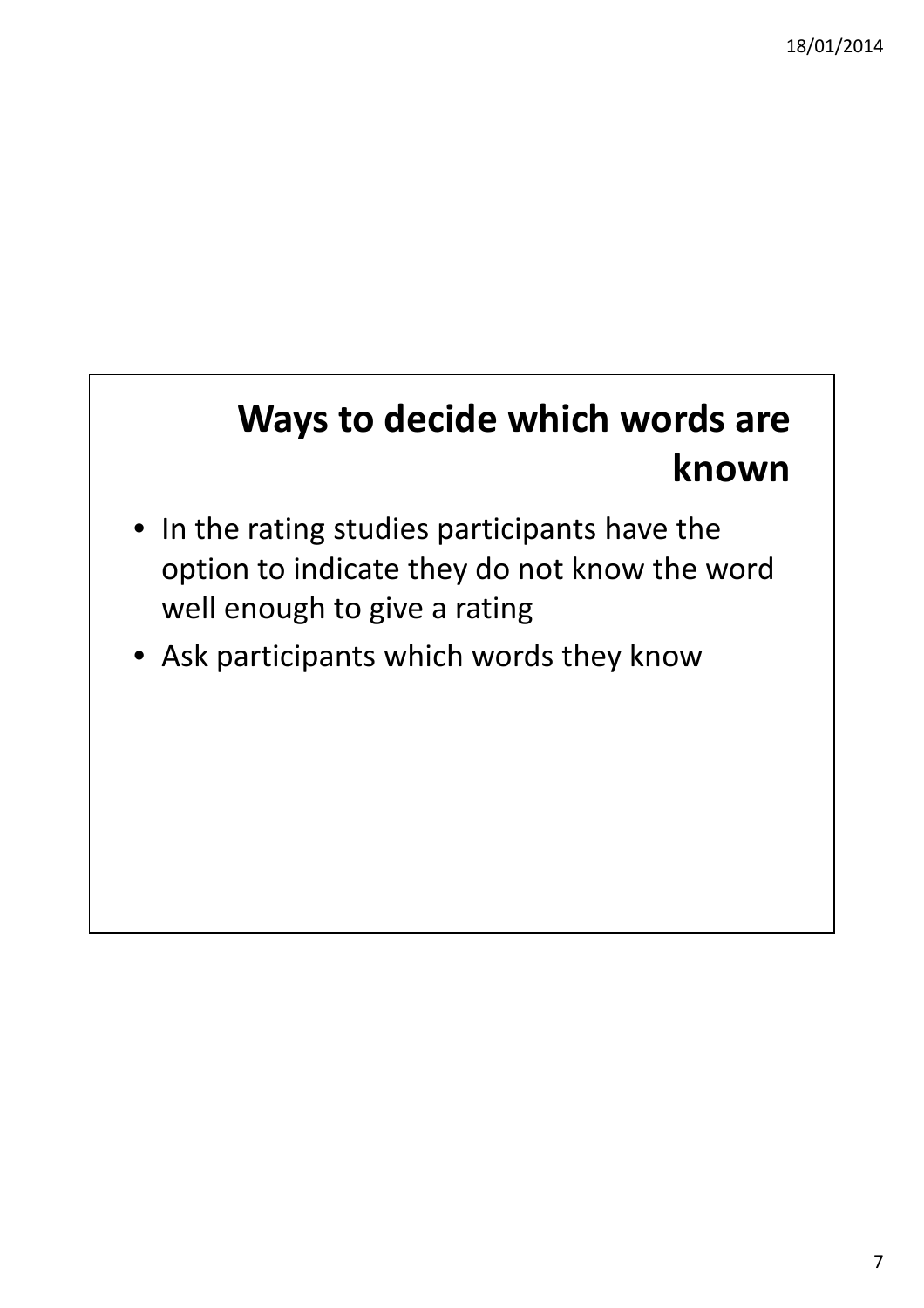# **Ways to decide which words are known**

- In the rating studies participants have the option to indicate they do not know the word well enough to give a rating
- Ask participants which words they know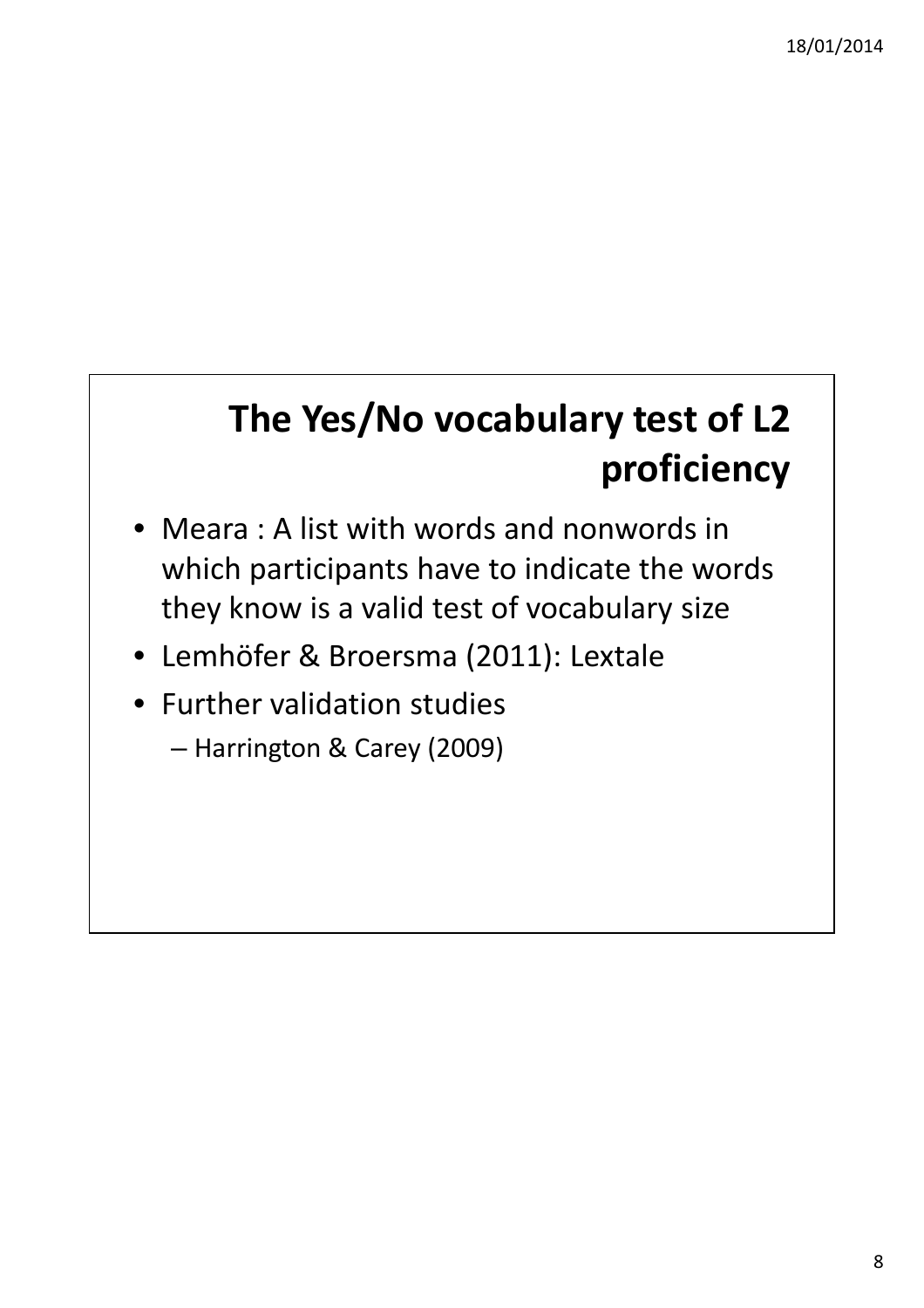# **The Yes/No vocabulary test of L2 proficiency**

- Meara : A list with words and nonwords in which participants have to indicate the words they know is a valid test of vocabulary size
- Lemhöfer & Broersma (2011): Lextale
- Further validation studies
	- Harrington & Carey (2009)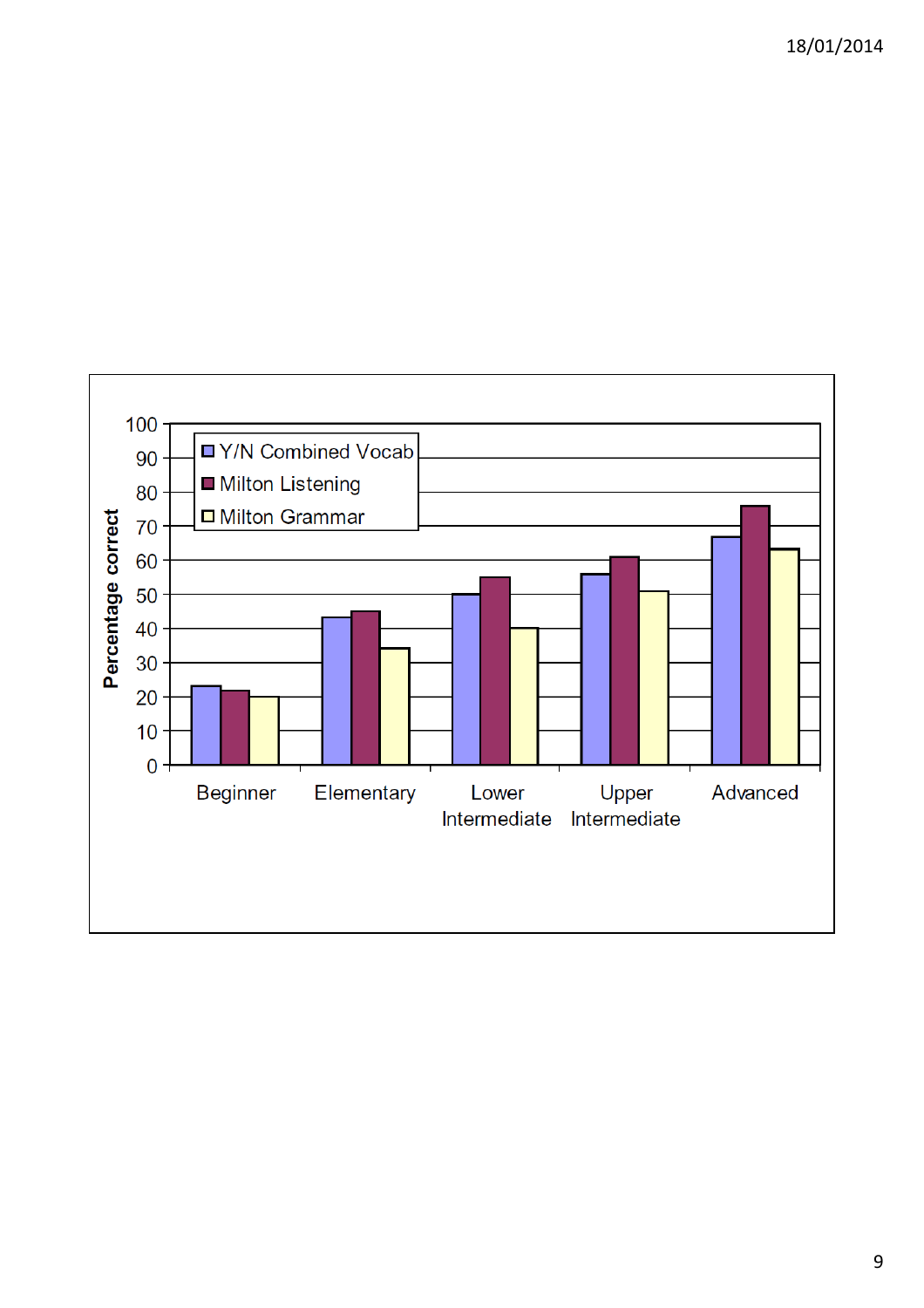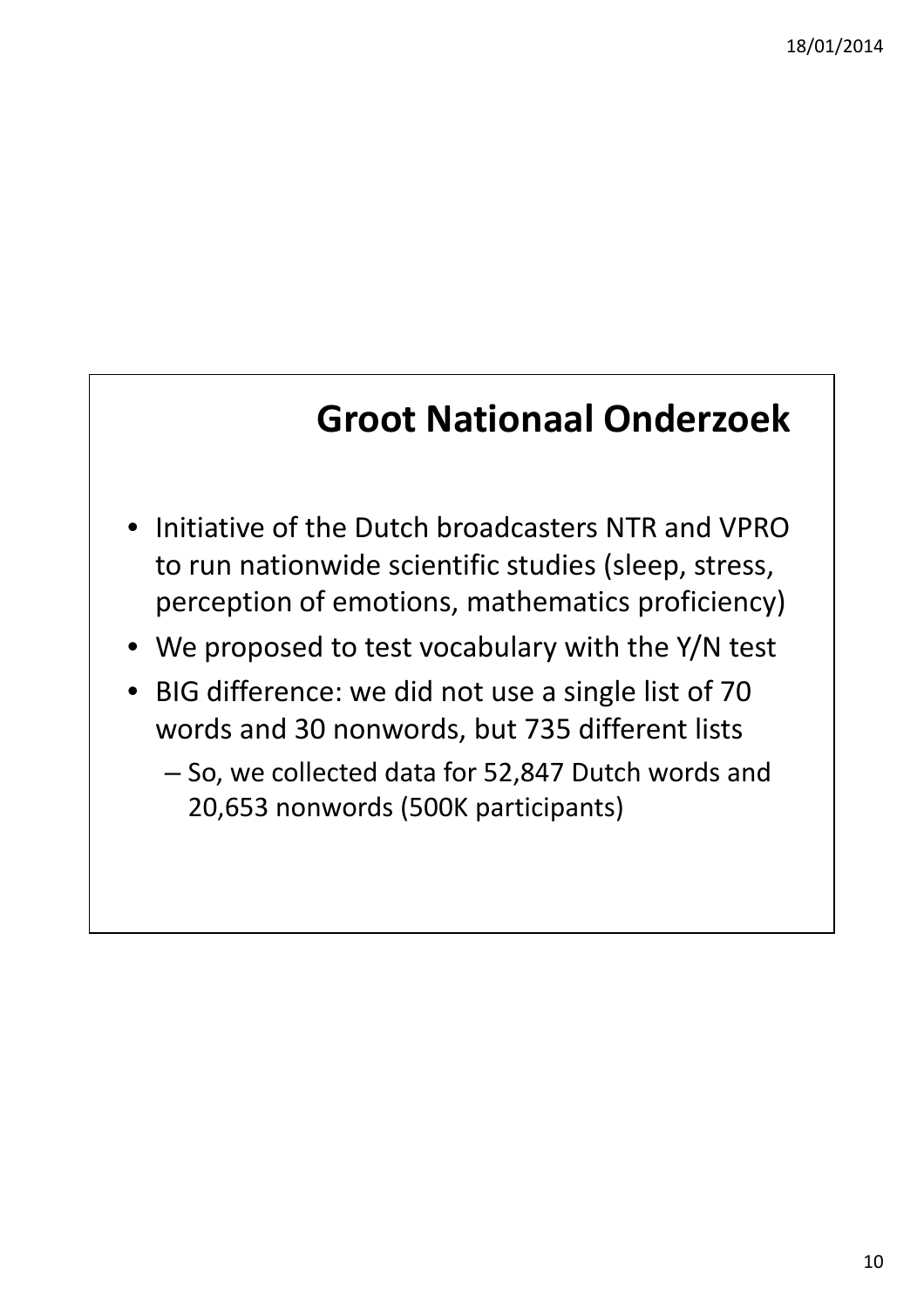#### **Groot Nationaal Onderzoek**

- Initiative of the Dutch broadcasters NTR and VPRO to run nationwide scientific studies (sleep, stress, perception of emotions, mathematics proficiency)
- We proposed to test vocabulary with the Y/N test
- BIG difference: we did not use a single list of 70 words and 30 nonwords, but 735 different lists
	- So, we collected data for 52,847 Dutch words and 20,653 nonwords (500K participants)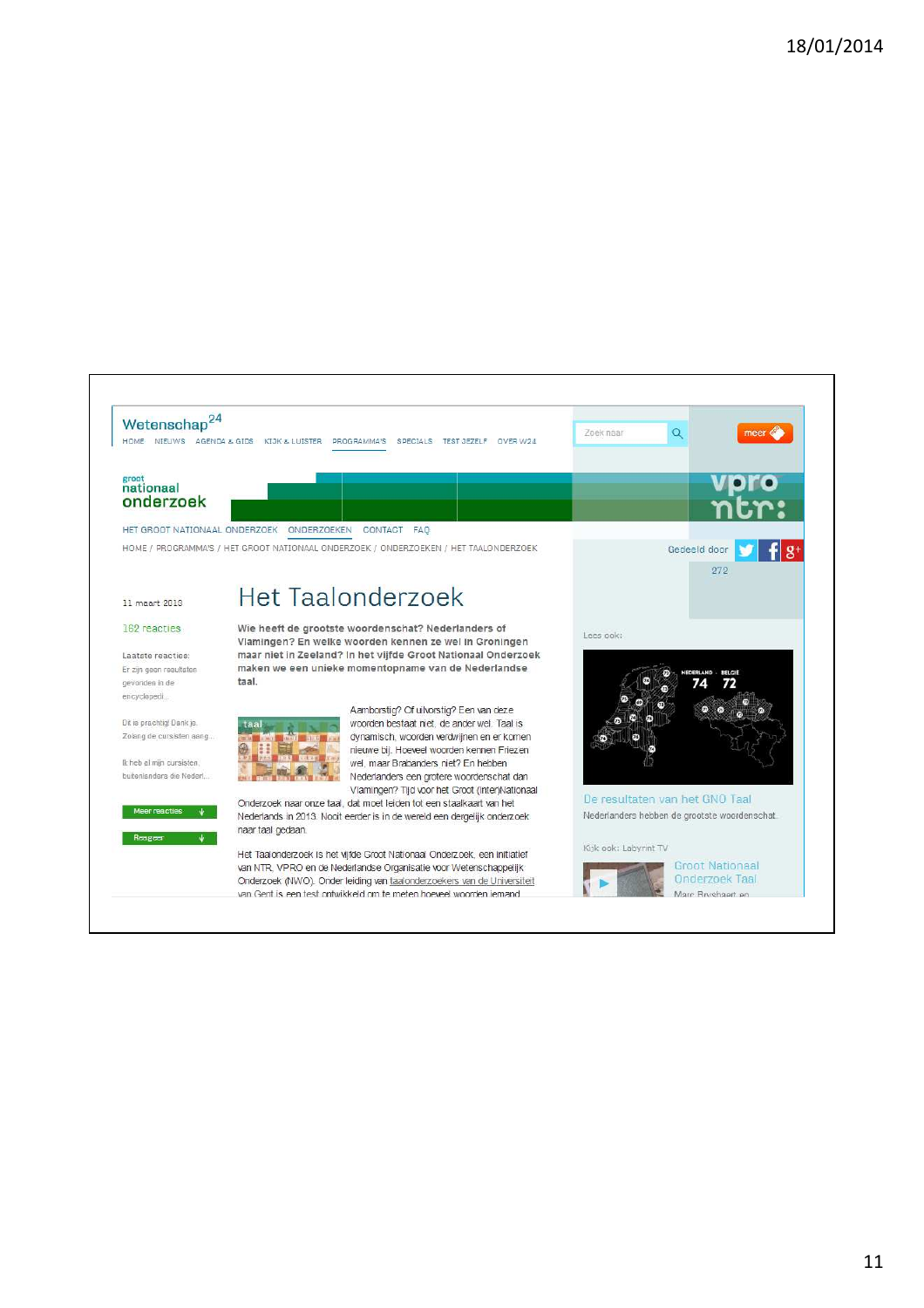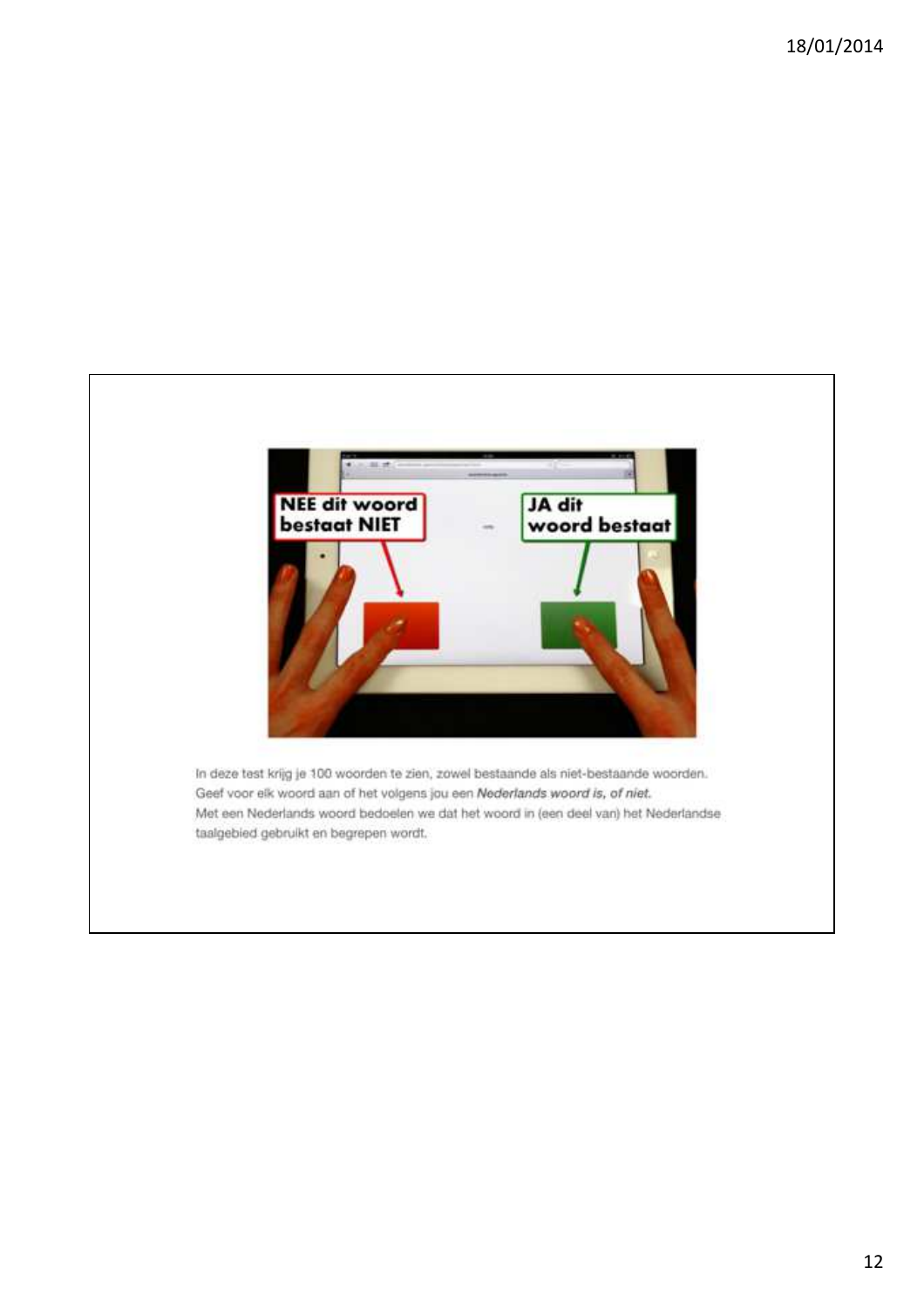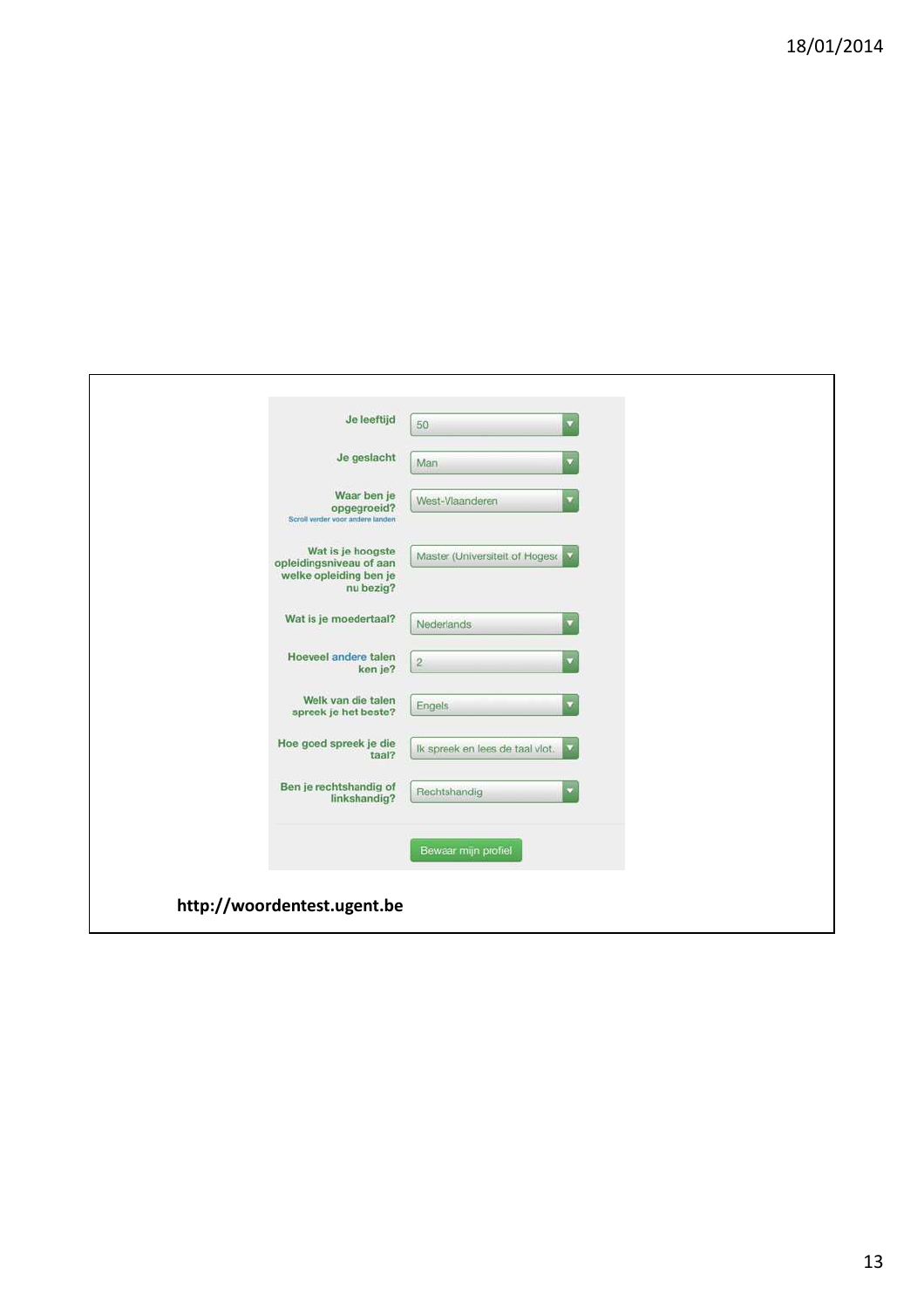| Je leeftijd                                                                         | 50<br>u                                                    |
|-------------------------------------------------------------------------------------|------------------------------------------------------------|
| Je geslacht                                                                         | Man<br>v                                                   |
| Waar ben je<br>opgegroeid?<br>Scroll verder voor andere landen                      | West-Vlaanderen                                            |
| Wat is je hoogste<br>opleidingsniveau of aan<br>welke opleiding ben je<br>nu bezig? | Master (Universiteit of Hoges M                            |
| Wat is je moedertaal?                                                               | Nederlands<br>۳                                            |
| Hoeveel andere talen<br>ken je?                                                     | $\sqrt{2}$<br>v                                            |
| Welk van die talen<br>spreek je het beste?                                          | Engels<br>۷                                                |
| Hoe goed spreek je die<br>taal?                                                     | Ik spreek en lees de taal vlot.<br>$\overline{\mathbf{v}}$ |
| Ben je rechtshandig of<br>linkshandig?                                              | Rechtshandig<br>۷                                          |
|                                                                                     | Bewaar mijn profiel                                        |
| http://woordentest.ugent.be                                                         |                                                            |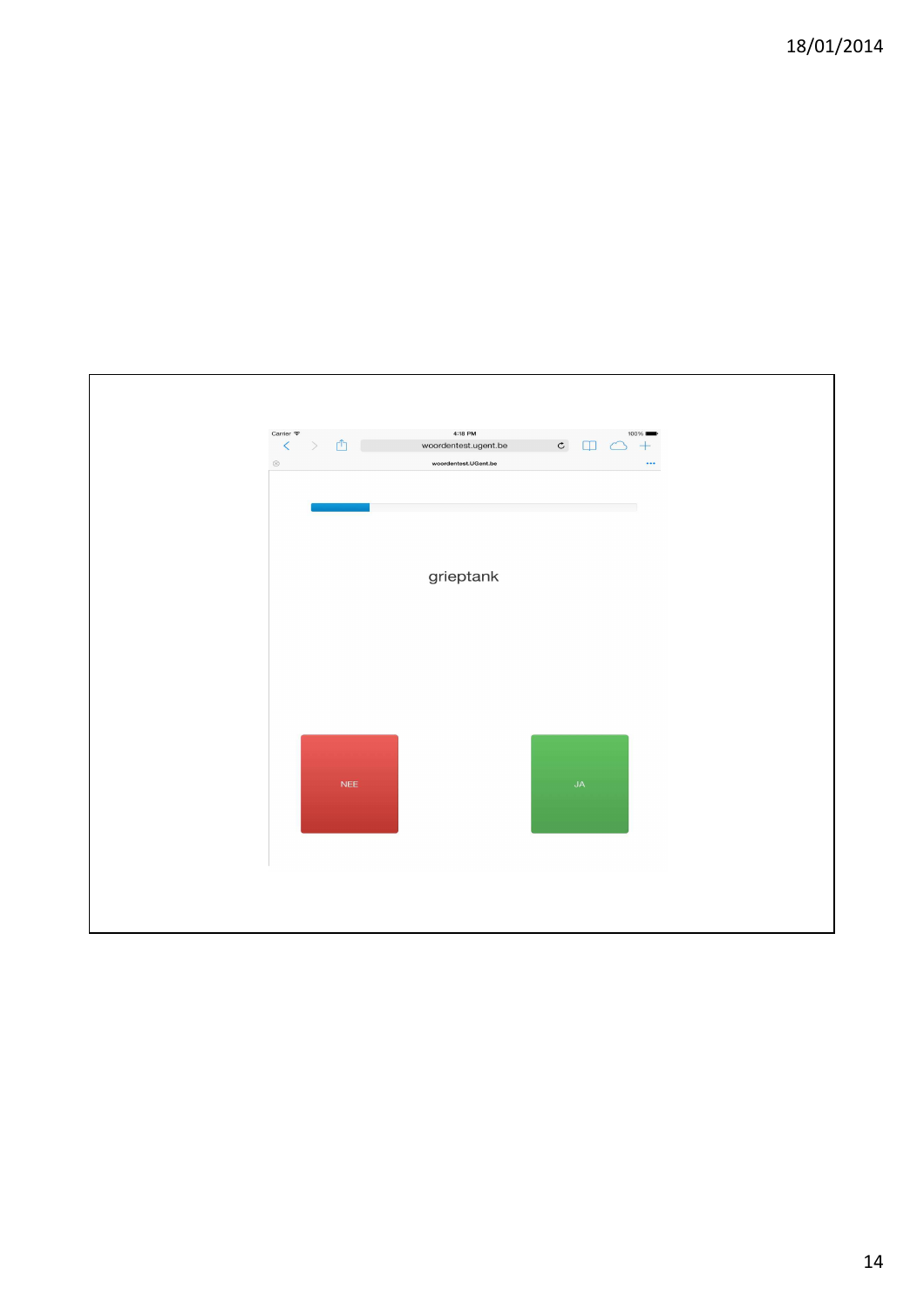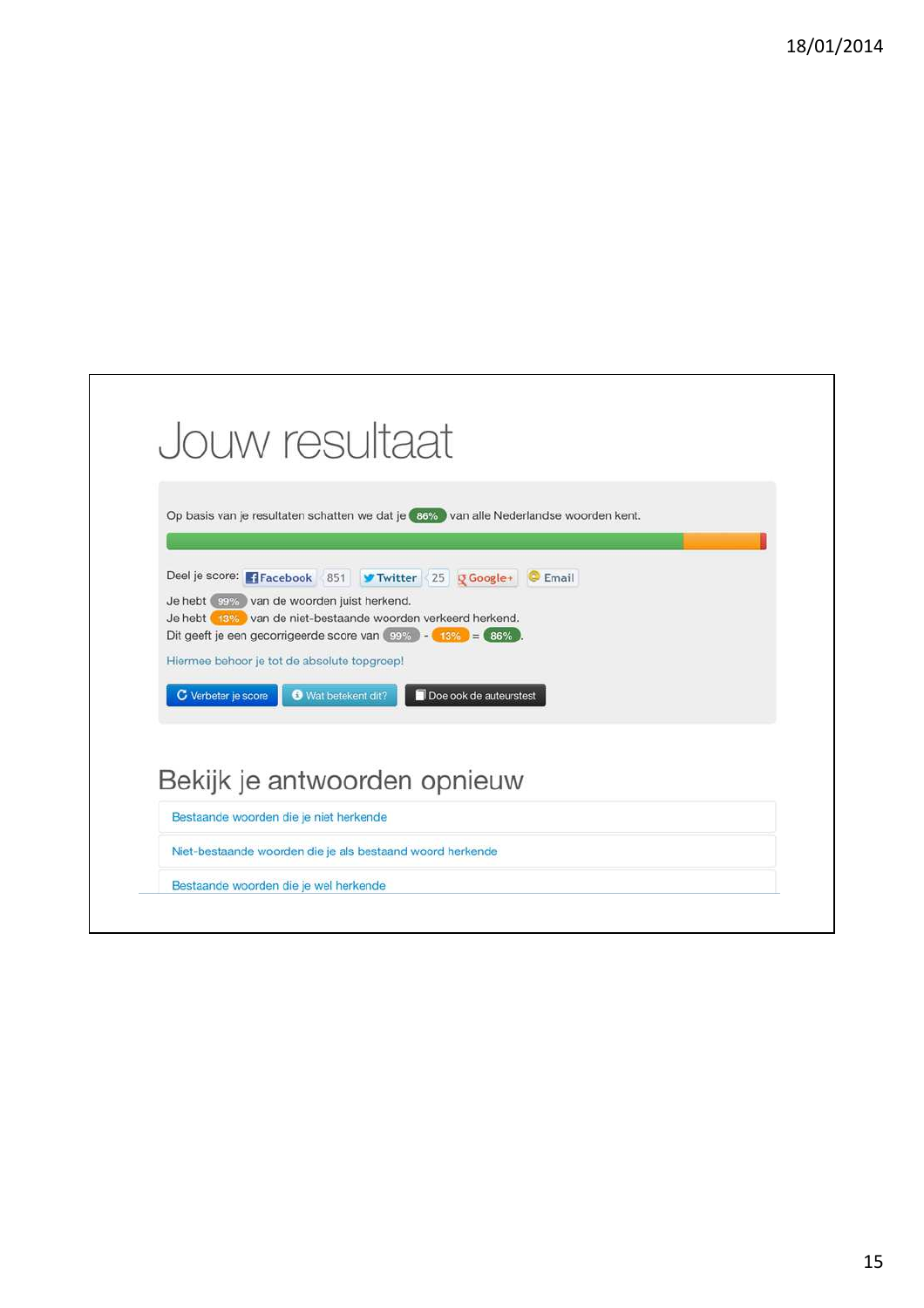|                     | Jouw resultaat                                                                                                                                                                                                                                                       |  |
|---------------------|----------------------------------------------------------------------------------------------------------------------------------------------------------------------------------------------------------------------------------------------------------------------|--|
|                     |                                                                                                                                                                                                                                                                      |  |
|                     | Op basis van je resultaten schatten we dat je 36% van alle Nederlandse woorden kent.                                                                                                                                                                                 |  |
|                     | Deel je score: FFacebook 851 V Twitter 25 Q Google+ C Email<br>Je hebt saw van de woorden juist herkend.<br>Je hebt 13% van de niet-bestaande woorden verkeerd herkend.<br>Dit geeft je een gecorrigeerde score van $\boxed{99\%}$ - $\boxed{13\%}$ = $\boxed{86\%}$ |  |
|                     | Hiermee behoor je tot de absolute topgroep!                                                                                                                                                                                                                          |  |
| C Verbeter je score | Wat betekent dit?<br>Doe ook de auteurstest                                                                                                                                                                                                                          |  |
|                     | Bekijk je antwoorden opnieuw                                                                                                                                                                                                                                         |  |
|                     |                                                                                                                                                                                                                                                                      |  |
|                     | Bestaande woorden die je niet herkende                                                                                                                                                                                                                               |  |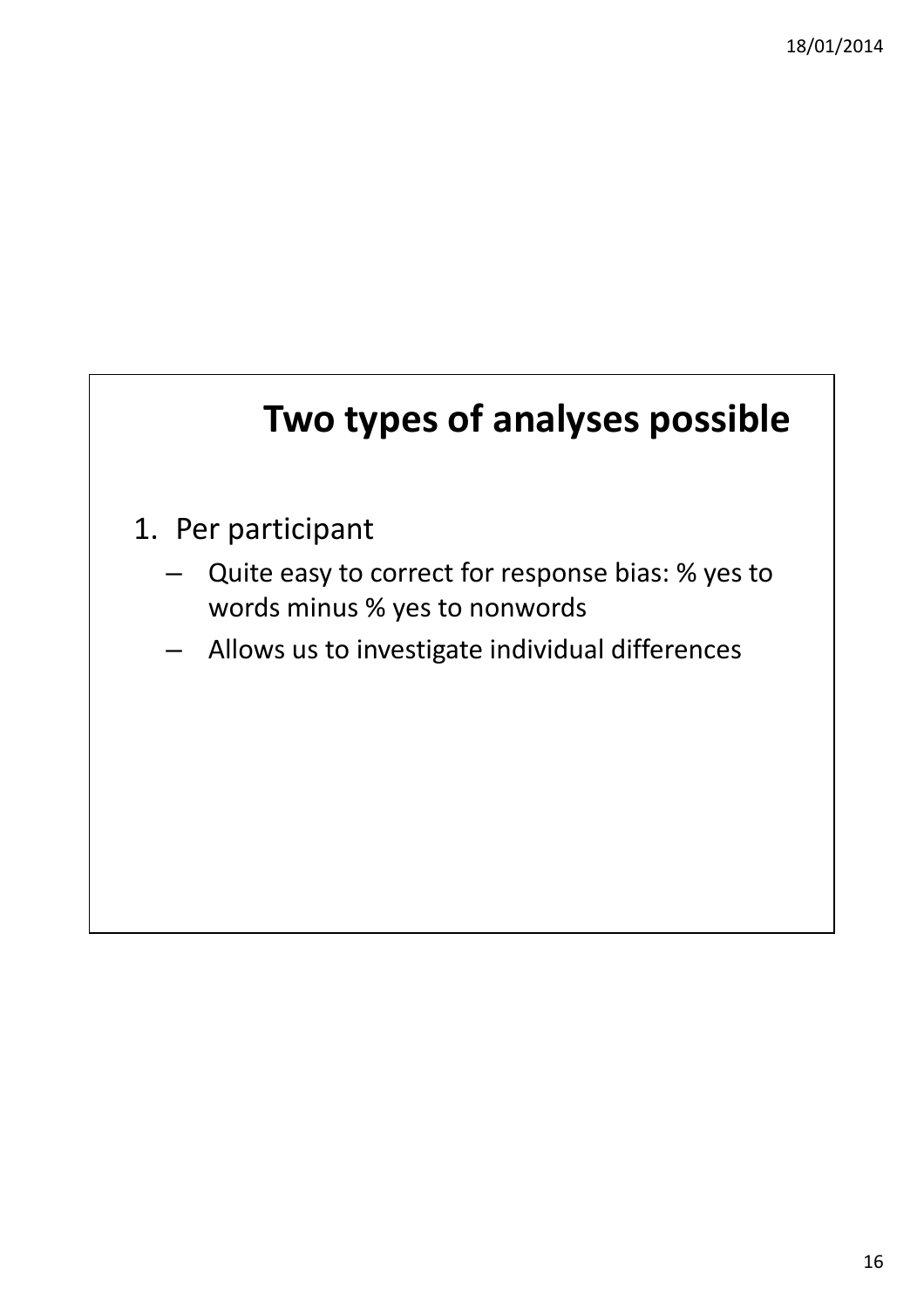## **Two types of analyses possible**

- 1. Per participant
	- Quite easy to correct for response bias: % yes to words minus % yes to nonwords
	- Allows us to investigate individual differences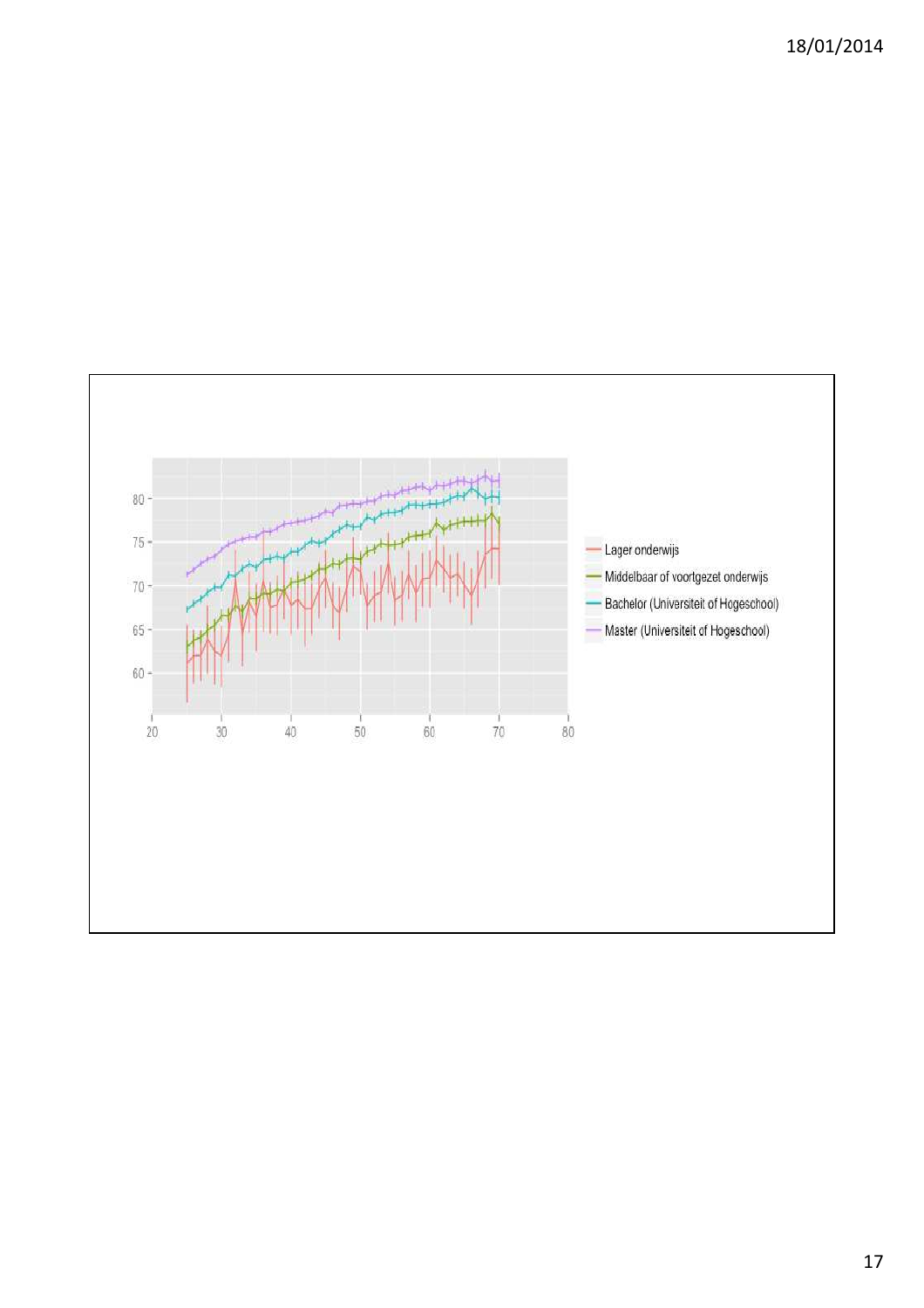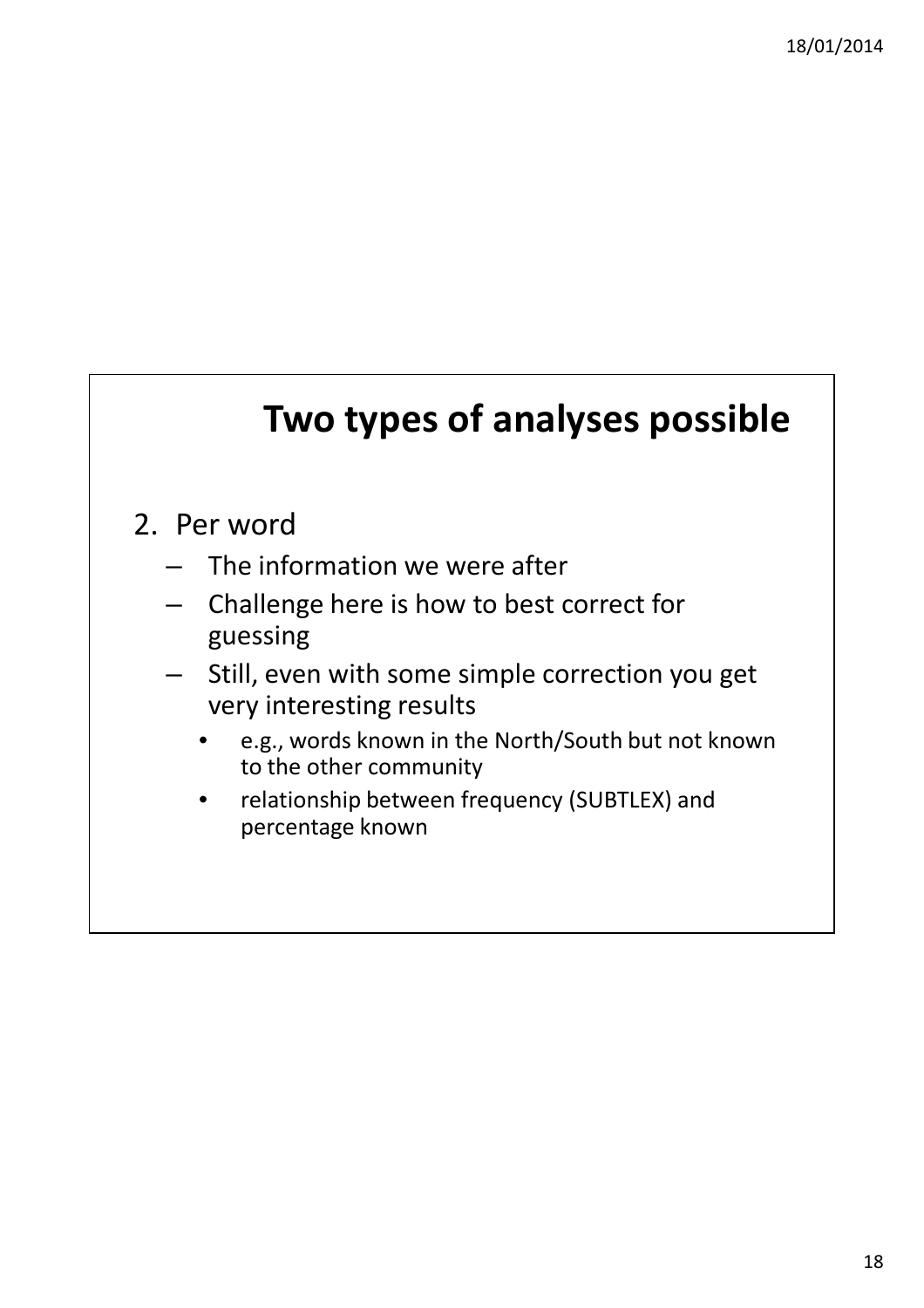#### **Two types of analyses possible**

#### 2. Per word

- The information we were after
- Challenge here is how to best correct for guessing
- Still, even with some simple correction you get very interesting results
	- e.g., words known in the North/South but not known to the other community
	- relationship between frequency (SUBTLEX) and percentage known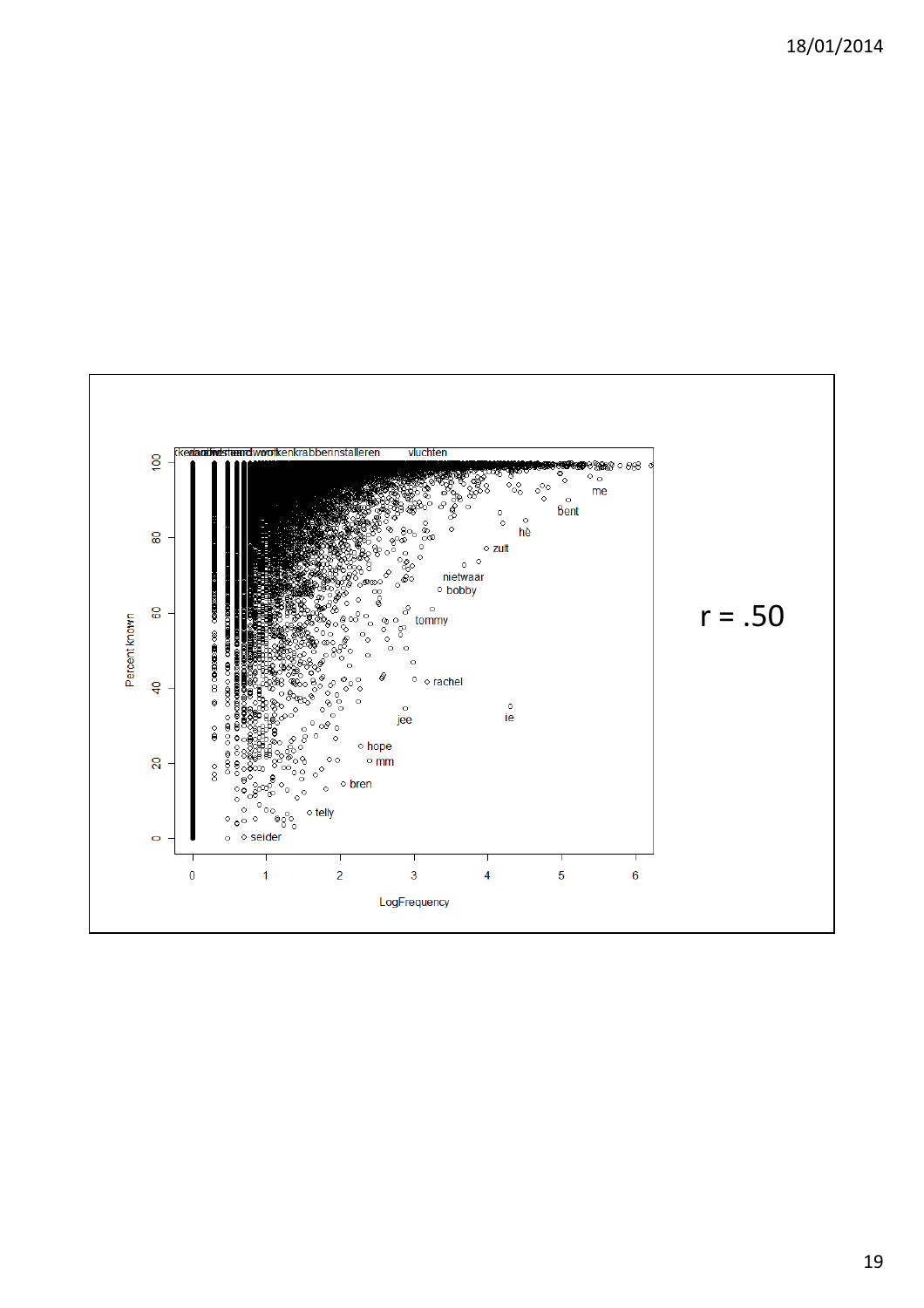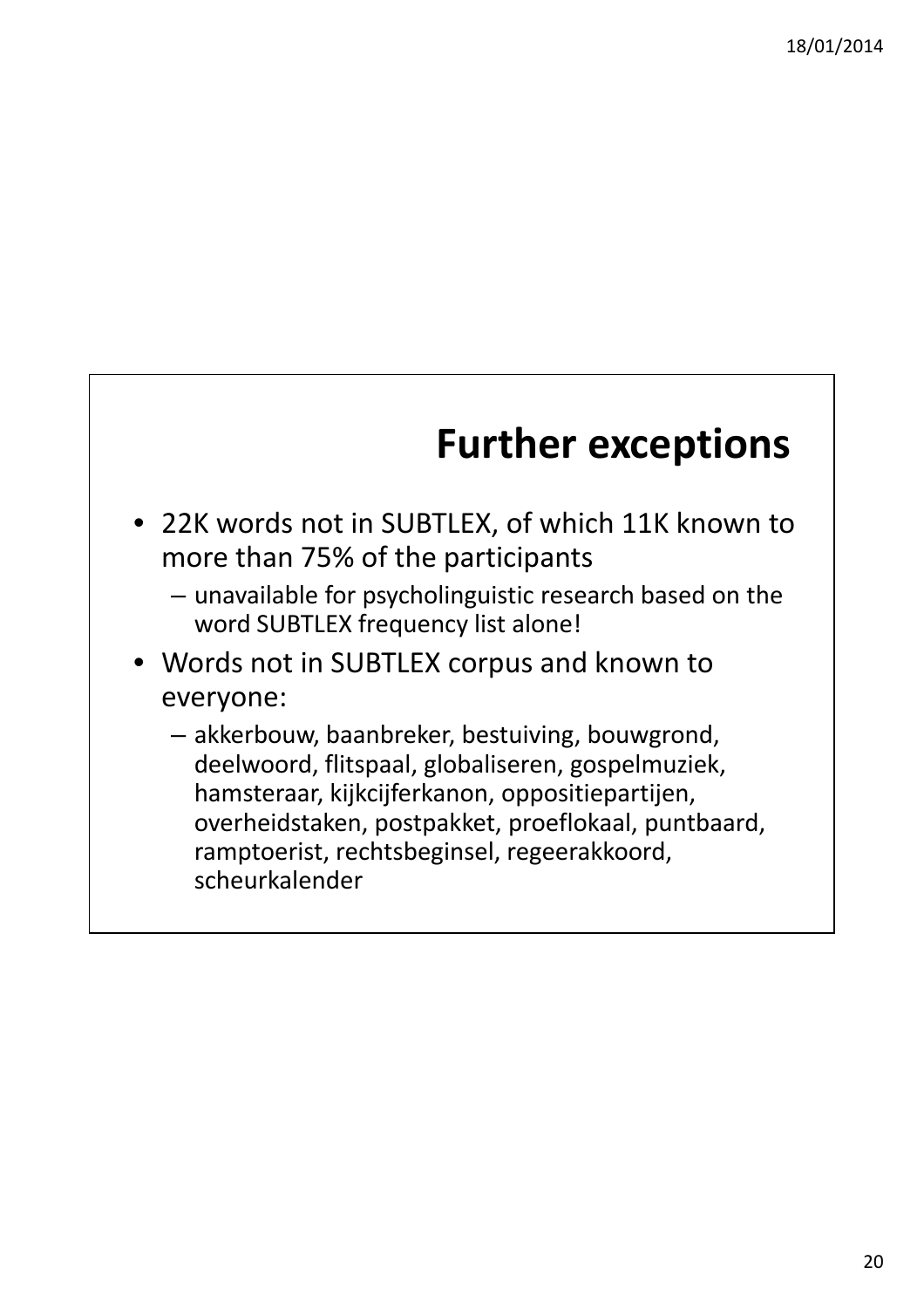# **Further exceptions**

- 22K words not in SUBTLEX, of which 11K known to more than 75% of the participants
	- unavailable for psycholinguistic research based on the word SUBTLEX frequency list alone!
- Words not in SUBTLEX corpus and known to everyone:
	- akkerbouw, baanbreker, bestuiving, bouwgrond, deelwoord, flitspaal, globaliseren, gospelmuziek, hamsteraar, kijkcijferkanon, oppositiepartijen, overheidstaken, postpakket, proeflokaal, puntbaard, ramptoerist, rechtsbeginsel, regeerakkoord, scheurkalender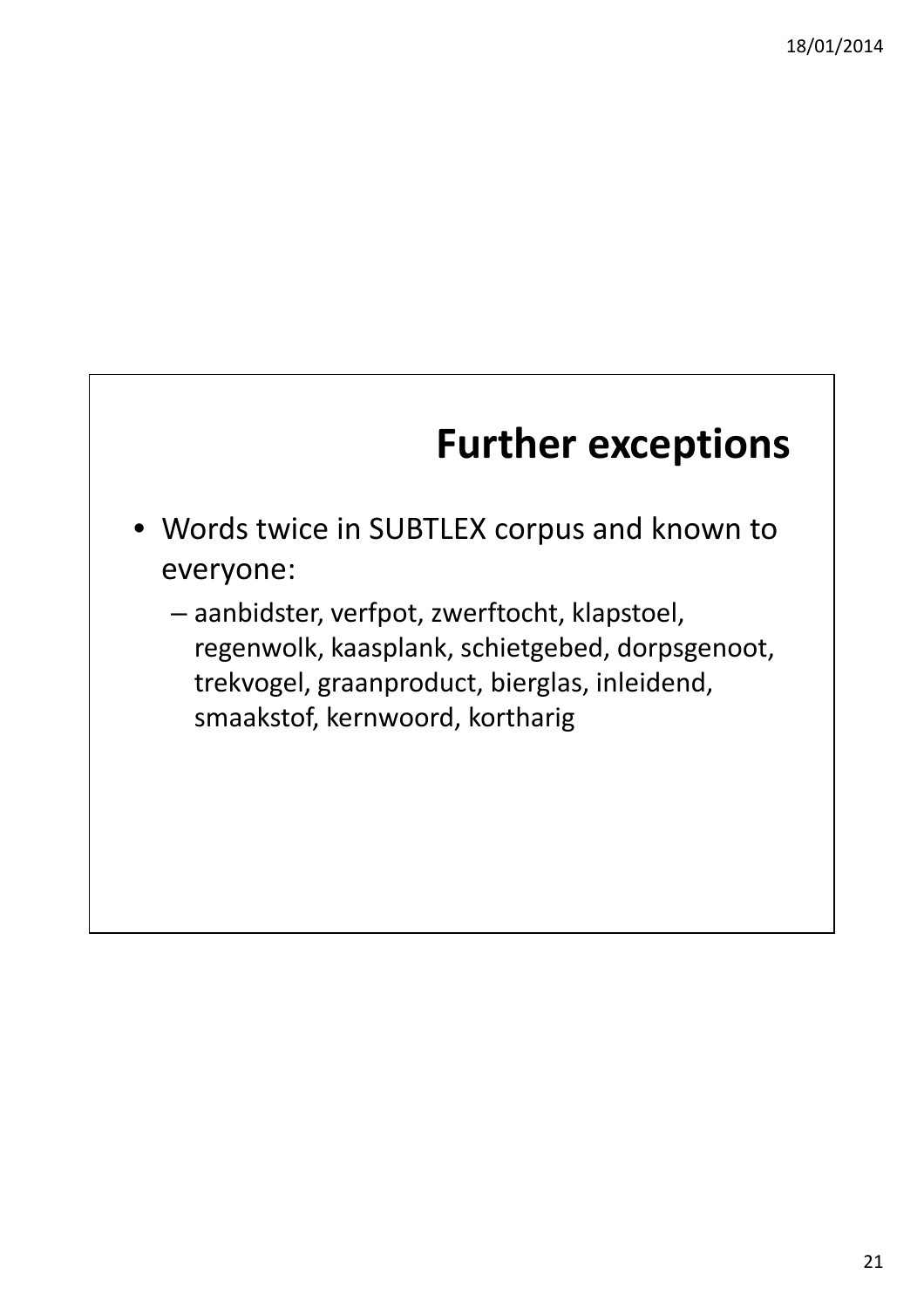# **Further exceptions**

- Words twice in SUBTLEX corpus and known to everyone:
	- aanbidster, verfpot, zwerftocht, klapstoel, regenwolk, kaasplank, schietgebed, dorpsgenoot, trekvogel, graanproduct, bierglas, inleidend, smaakstof, kernwoord, kortharig